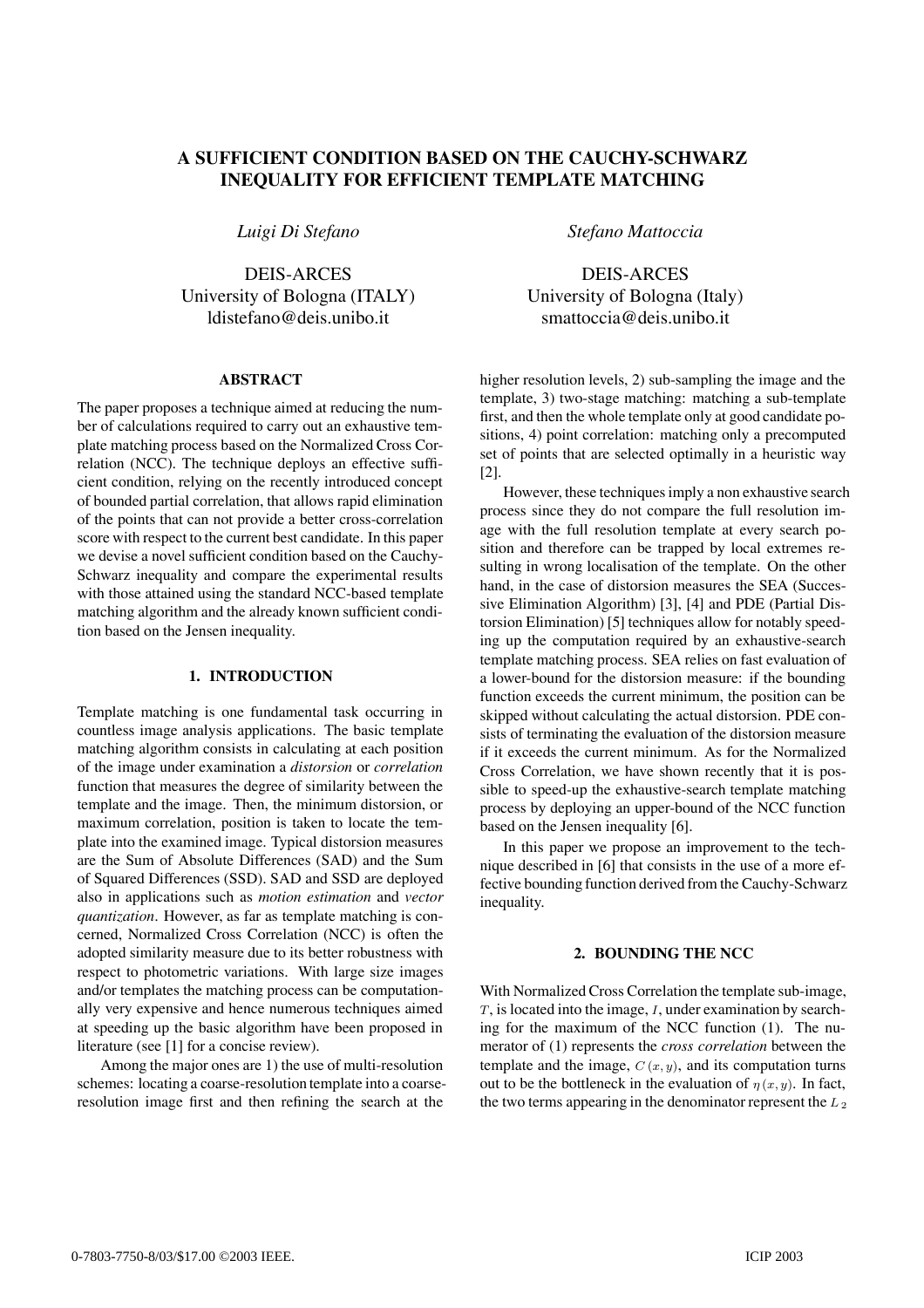# **A SUFFICIENT CONDITION BASED ON THE CAUCHY-SCHWARZ INEQUALITY FOR EFFICIENT TEMPLATE MATCHING**

*Luigi Di Stefano*

DEIS-ARCES University of Bologna (ITALY) ldistefano@deis.unibo.it

## **ABSTRACT**

The paper proposes a technique aimed at reducing the number of calculations required to carry out an exhaustive template matching process based on the Normalized Cross Correlation (NCC). The technique deploys an effective sufficient condition, relying on the recently introduced concept of bounded partial correlation, that allows rapid elimination of the points that can not provide a better cross-correlation score with respect to the current best candidate. In this paper we devise a novel sufficient condition based on the Cauchy-Schwarz inequality and compare the experimental results with those attained using the standard NCC-based template matching algorithm and the already known sufficient condition based on the Jensen inequality.

### **1. INTRODUCTION**

Template matching is one fundamental task occurring in countless image analysis applications. The basic template matching algorithm consists in calculating at each position of the image under examination a *distorsion* or *correlation* function that measures the degree of similarity between the template and the image. Then, the minimum distorsion, or maximum correlation, position is taken to locate the template into the examined image. Typical distorsion measures are the Sum of Absolute Differences (SAD) and the Sum of Squared Differences (SSD). SAD and SSD are deployed also in applications such as *motion estimation* and *vector quantization*. However, as far as template matching is concerned, Normalized Cross Correlation (NCC) is often the adopted similarity measure due to its better robustness with respect to photometric variations. With large size images and/or templates the matching process can be computationally very expensive and hence numerous techniques aimed at speeding up the basic algorithm have been proposed in literature (see [1] for a concise review).

Among the major ones are 1) the use of multi-resolution schemes: locating a coarse-resolution template into a coarseresolution image first and then refining the search at the *Stefano Mattoccia*

DEIS-ARCES University of Bologna (Italy) smattoccia@deis.unibo.it

higher resolution levels, 2) sub-sampling the image and the template, 3) two-stage matching: matching a sub-template first, and then the whole template only at good candidate positions, 4) point correlation: matching only a precomputed set of points that are selected optimally in a heuristic way [2].

However, these techniques imply a non exhaustive search process since they do not compare the full resolution image with the full resolution template at every search position and therefore can be trapped by local extremes resulting in wrong localisation of the template. On the other hand, in the case of distorsion measures the SEA (Successive Elimination Algorithm) [3], [4] and PDE (Partial Distorsion Elimination) [5] techniques allow for notably speeding up the computation required by an exhaustive-search template matching process. SEA relies on fast evaluation of a lower-bound for the distorsion measure: if the bounding function exceeds the current minimum, the position can be skipped without calculating the actual distorsion. PDE consists of terminating the evaluation of the distorsion measure if it exceeds the current minimum. As for the Normalized Cross Correlation, we have shown recently that it is possible to speed-up the exhaustive-search template matching process by deploying an upper-bound of the NCC function based on the Jensen inequality [6].

In this paper we propose an improvement to the technique described in [6] that consists in the use of a more effective bounding function derived from the Cauchy-Schwarz inequality.

## **2. BOUNDING THE NCC**

With Normalized Cross Correlation the template sub-image,  $T$ , is located into the image,  $I$ , under examination by searching for the maximum of the NCC function (1). The numerator of (1) represents the *cross correlation* between the template and the image,  $C(x, y)$ , and its computation turns out to be the bottleneck in the evaluation of  $\eta(x, y)$ . In fact, the two terms appearing in the denominator represent the  $L_2$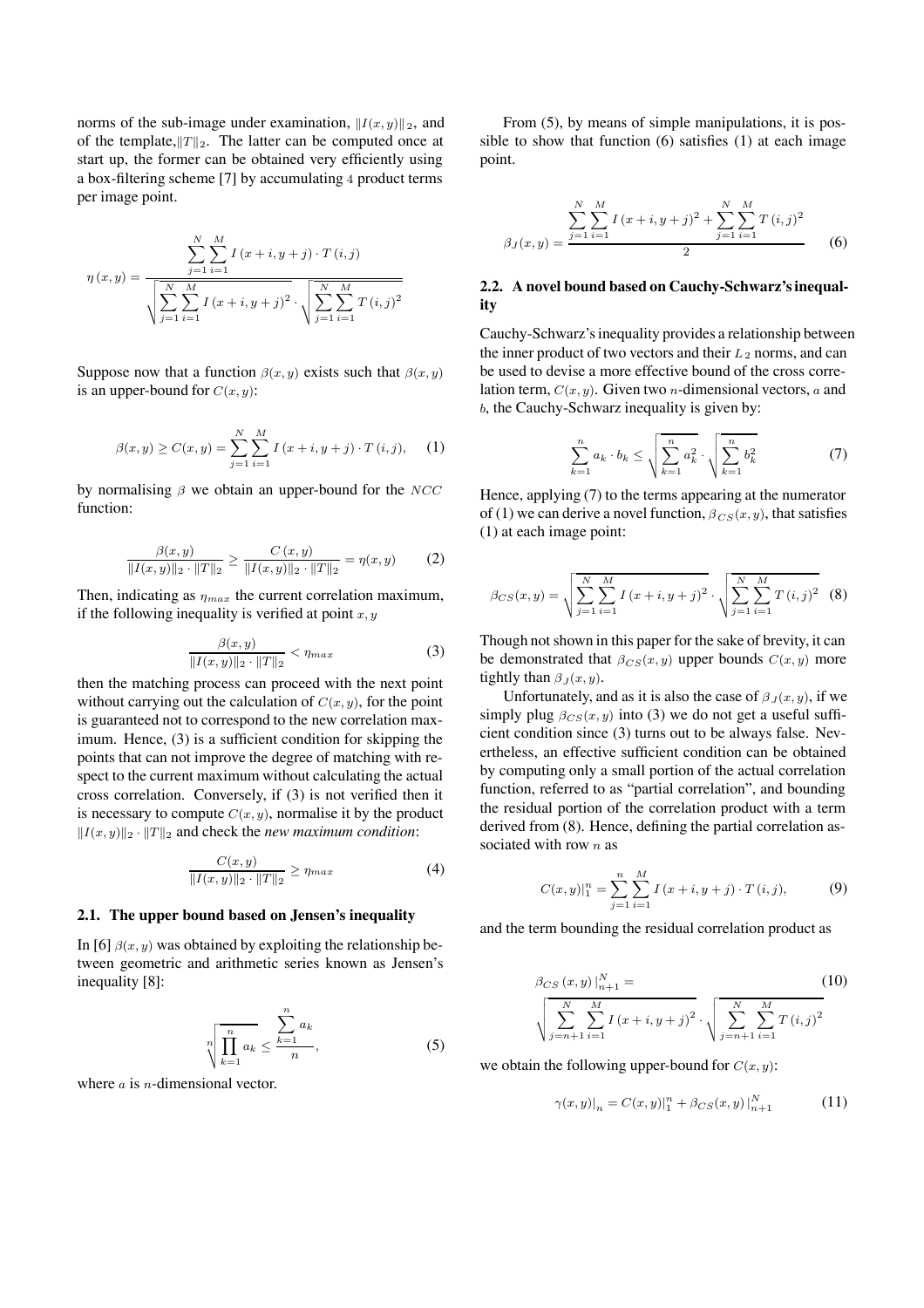norms of the sub-image under examination,  $||I(x, y)||_2$ , and of the template, $||T||_2$ . The latter can be computed once at start up, the former can be obtained very efficiently using a box-filtering scheme [7] by accumulating 4 product terms per image point.

$$
\eta(x,y) = \frac{\sum_{j=1}^{N} \sum_{i=1}^{M} I(x+i, y+j) \cdot T(i,j)}{\sqrt{\sum_{j=1}^{N} \sum_{i=1}^{M} I(x+i, y+j)^{2}} \cdot \sqrt{\sum_{j=1}^{N} \sum_{i=1}^{M} T(i,j)^{2}}}
$$

Suppose now that a function  $\beta(x, y)$  exists such that  $\beta(x, y)$ is an upper-bound for  $C(x, y)$ :

$$
\beta(x, y) \ge C(x, y) = \sum_{j=1}^{N} \sum_{i=1}^{M} I(x + i, y + j) \cdot T(i, j), \quad (1)
$$

by normalising  $\beta$  we obtain an upper-bound for the NCC function:

$$
\frac{\beta(x,y)}{\|I(x,y)\|_2 \cdot \|T\|_2} \ge \frac{C(x,y)}{\|I(x,y)\|_2 \cdot \|T\|_2} = \eta(x,y) \tag{2}
$$

Then, indicating as  $\eta_{max}$  the current correlation maximum, if the following inequality is verified at point  $x, y$ 

$$
\frac{\beta(x,y)}{\|I(x,y)\|_2 \cdot \|T\|_2} < \eta_{max} \tag{3}
$$

then the matching process can proceed with the next point without carrying out the calculation of  $C(x, y)$ , for the point is guaranteed not to correspond to the new correlation maximum. Hence, (3) is a sufficient condition for skipping the points that can not improve the degree of matching with respect to the current maximum without calculating the actual cross correlation. Conversely, if (3) is not verified then it is necessary to compute  $C(x, y)$ , normalise it by the product  $||I(x,y)||_2 \cdot ||T||_2$  and check the *new maximum condition*:

$$
\frac{C(x,y)}{\|I(x,y)\|_2 \cdot \|T\|_2} \ge \eta_{max} \tag{4}
$$

#### **2.1. The upper bound based on Jensen's inequality**

In [6]  $\beta(x, y)$  was obtained by exploiting the relationship between geometric and arithmetic series known as Jensen's inequality [8]:

$$
\sqrt[n]{\prod_{k=1}^{n} a_k} \le \frac{\sum_{k=1}^{n} a_k}{n},\tag{5}
$$

where  $\alpha$  is  $n$ -dimensional vector.

From (5), by means of simple manipulations, it is possible to show that function (6) satisfies (1) at each image point.

$$
\beta_J(x,y) = \frac{\sum_{j=1}^N \sum_{i=1}^M I(x+i, y+j)^2 + \sum_{j=1}^N \sum_{i=1}^M T(i,j)^2}{2}
$$
 (6)

# **2.2. A novel bound based on Cauchy-Schwarz's inequality**

Cauchy-Schwarz's inequality provides a relationship between the inner product of two vectors and their  $L_2$  norms, and can be used to devise a more effective bound of the cross correlation term,  $C(x, y)$ . Given two *n*-dimensional vectors, *a* and b, the Cauchy-Schwarz inequality is given by:

$$
\sum_{k=1}^{n} a_k \cdot b_k \le \sqrt{\sum_{k=1}^{n} a_k^2} \cdot \sqrt{\sum_{k=1}^{n} b_k^2} \tag{7}
$$

Hence, applying (7) to the terms appearing at the numerator of (1) we can derive a novel function,  $\beta_{CS}(x, y)$ , that satisfies (1) at each image point:

$$
\beta_{CS}(x,y) = \sqrt{\sum_{j=1}^{N} \sum_{i=1}^{M} I(x+i, y+j)^2} \cdot \sqrt{\sum_{j=1}^{N} \sum_{i=1}^{M} T(i,j)^2}
$$
 (8)

Though not shown in this paper for the sake of brevity, it can be demonstrated that  $\beta_{CS}(x, y)$  upper bounds  $C(x, y)$  more tightly than  $\beta_J(x, y)$ .

Unfortunately, and as it is also the case of  $\beta_J(x, y)$ , if we simply plug  $\beta_{CS}(x, y)$  into (3) we do not get a useful sufficient condition since (3) turns out to be always false. Nevertheless, an effective sufficient condition can be obtained by computing only a small portion of the actual correlation function, referred to as "partial correlation", and bounding the residual portion of the correlation product with a term derived from (8). Hence, defining the partial correlation associated with row  $n$  as

$$
C(x, y)|_1^n = \sum_{j=1}^n \sum_{i=1}^M I(x + i, y + j) \cdot T(i, j),
$$
 (9)

and the term bounding the residual correlation product as

$$
\beta_{CS}(x,y)\Big|_{n+1}^{N} = \text{(10)}
$$
\n
$$
\sqrt{\sum_{j=n+1}^{N} \sum_{i=1}^{M} I(x+i, y+j)^2} \cdot \sqrt{\sum_{j=n+1}^{N} \sum_{i=1}^{M} T(i,j)^2}
$$

we obtain the following upper-bound for  $C(x, y)$ :

$$
\gamma(x,y)|_{n} = C(x,y)|_{1}^{n} + \beta_{CS}(x,y)|_{n+1}^{N}
$$
 (11)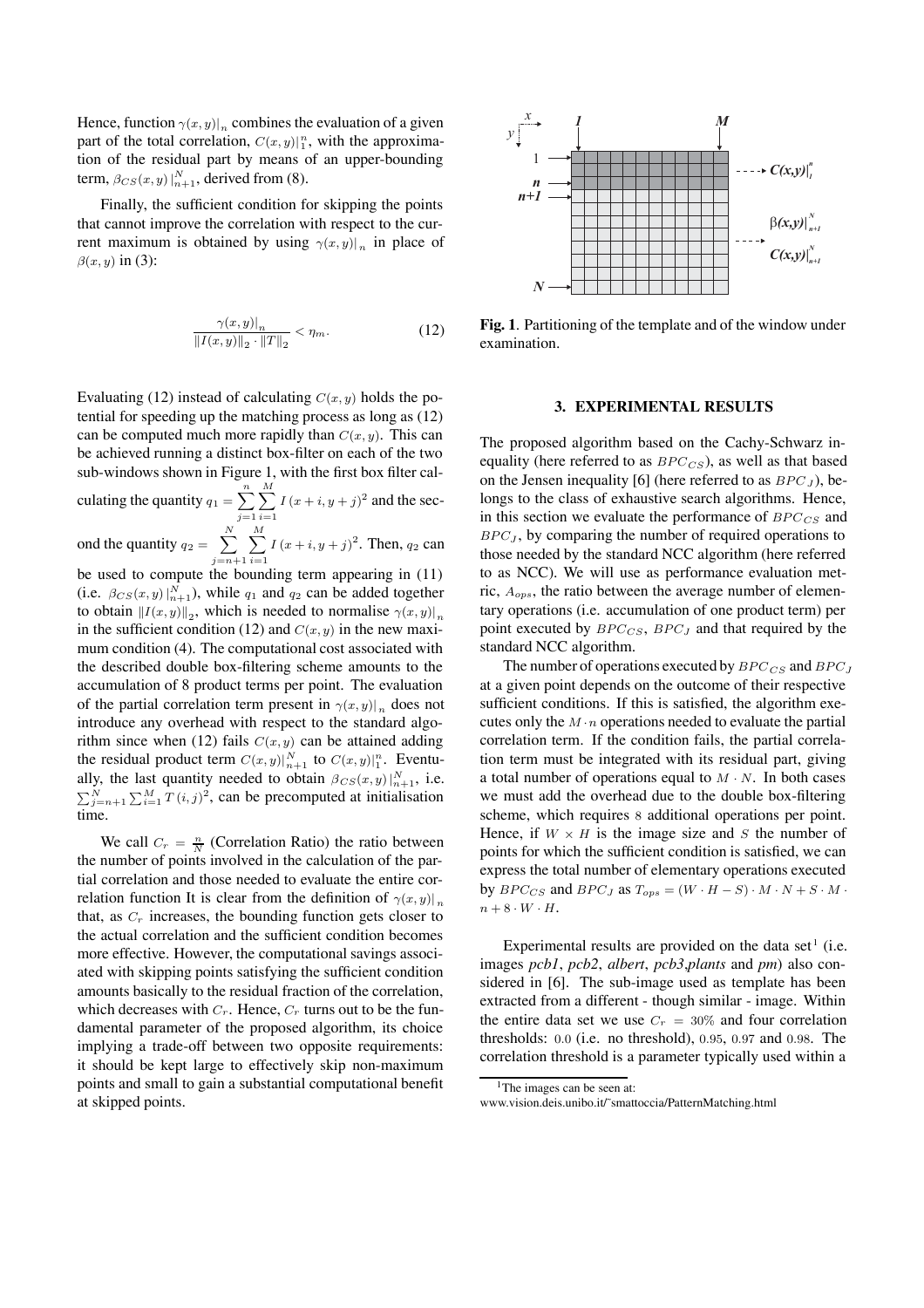Hence, function  $\gamma(x, y)|_n$  combines the evaluation of a given part of the total correlation,  $C(x, y)|_1^n$ , with the approximation of the residual part by means of an upper-bounding term,  $\beta_{CS}(x, y) \big|_{n+1}^N$ , derived from (8).

Finally, the sufficient condition for skipping the points that cannot improve the correlation with respect to the current maximum is obtained by using  $\gamma(x, y)|_n$  in place of  $\beta(x, y)$  in (3):

$$
\frac{\gamma(x,y)|_n}{\|I(x,y)\|_2 \cdot \|T\|_2} < \eta_m. \tag{12}
$$

Evaluating (12) instead of calculating  $C(x, y)$  holds the potential for speeding up the matching process as long as (12) can be computed much more rapidly than  $C(x, y)$ . This can be achieved running a distinct box-filter on each of the two sub-windows shown in Figure 1, with the first box filter calculating the quantity  $q_1 = \sum_{n=1}^{\infty}$ *j*=1 *M i*=1  $I(x+i, y+j)^2$  and the second the quantity  $q_2 = \sum_{n=1}^{N}$ 

*j*=*n*+1 *M i*=1  $I(x+i, y+j)^2$ . Then,  $q_2$  can be used to compute the bounding term appearing in (11)

(i.e.  $\beta_{CS}(x, y) \big|_{n+1}^N$ ), while  $q_1$  and  $q_2$  can be added together to obtain  $||I(x, y)||_2$ , which is needed to normalise  $\gamma(x, y)|_n$ in the sufficient condition (12) and  $C(x, y)$  in the new maximum condition (4). The computational cost associated with the described double box-filtering scheme amounts to the accumulation of 8 product terms per point. The evaluation of the partial correlation term present in  $\gamma(x, y)|_n$  does not introduce any overhead with respect to the standard algorithm since when (12) fails  $C(x, y)$  can be attained adding the residual product term  $C(x, y)|_{n+1}^N$  to  $C(x, y)|_1^n$ . Eventually, the last quantity needed to obtain  $\beta_{CS}(x, y) \big|_{n=1}^{N}$ , i.e.  $\sum_{j=n+1}^{N} \sum_{i=1}^{M} T(i, j)^2$ , can be precomputed at initialisation time.

We call  $C_r = \frac{n}{N}$  (Correlation Ratio) the ratio between the number of points involved in the calculation of the partial correlation and those needed to evaluate the entire correlation function It is clear from the definition of  $\gamma(x, y)|_p$ that, as  $C_r$  increases, the bounding function gets closer to the actual correlation and the sufficient condition becomes more effective. However, the computational savings associated with skipping points satisfying the sufficient condition amounts basically to the residual fraction of the correlation, which decreases with  $C_r$ . Hence,  $C_r$  turns out to be the fundamental parameter of the proposed algorithm, its choice implying a trade-off between two opposite requirements: it should be kept large to effectively skip non-maximum points and small to gain a substantial computational benefit at skipped points.



**Fig. 1**. Partitioning of the template and of the window under examination.

#### **3. EXPERIMENTAL RESULTS**

The proposed algorithm based on the Cachy-Schwarz inequality (here referred to as *BPC<sub>CS</sub>*), as well as that based on the Jensen inequality [6] (here referred to as BPC*<sup>J</sup>* ), belongs to the class of exhaustive search algorithms. Hence, in this section we evaluate the performance of BPC *CS* and  $BPC_J$ , by comparing the number of required operations to those needed by the standard NCC algorithm (here referred to as NCC). We will use as performance evaluation metric, A*ops*, the ratio between the average number of elementary operations (i.e. accumulation of one product term) per point executed by BPC*CS*, BPC*<sup>J</sup>* and that required by the standard NCC algorithm.

The number of operations executed by BPC *CS* and BPC*<sup>J</sup>* at a given point depends on the outcome of their respective sufficient conditions. If this is satisfied, the algorithm executes only the  $M \cdot n$  operations needed to evaluate the partial correlation term. If the condition fails, the partial correlation term must be integrated with its residual part, giving a total number of operations equal to  $M \cdot N$ . In both cases we must add the overhead due to the double box-filtering scheme, which requires 8 additional operations per point. Hence, if  $W \times H$  is the image size and S the number of points for which the sufficient condition is satisfied, we can express the total number of elementary operations executed by  $BPC_{CS}$  and  $BPC_J$  as  $T_{ops} = (W \cdot H - S) \cdot M \cdot N + S \cdot M \cdot$  $n + 8 \cdot W \cdot H$ .

Experimental results are provided on the data set<sup>1</sup> (i.e. images *pcb1*, *pcb2*, *albert*, *pcb3*,*plants* and *pm*) also considered in [6]. The sub-image used as template has been extracted from a different - though similar - image. Within the entire data set we use  $C_r = 30\%$  and four correlation thresholds: 0.0 (i.e. no threshold), 0.95, 0.97 and 0.98. The correlation threshold is a parameter typically used within a

<sup>&</sup>lt;sup>1</sup>The images can be seen at:

www.vision.deis.unibo.it/˜smattoccia/PatternMatching.html